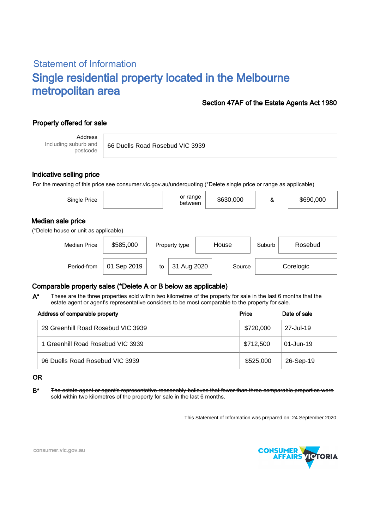# Statement of Information Single residential property located in the Melbourne metropolitan area

### Section 47AF of the Estate Agents Act 1980

## Property offered for sale

Address Including suburb and postcode

66 Duells Road Rosebud VIC 3939

#### Indicative selling price

For the meaning of this price see consumer.vic.gov.au/underquoting (\*Delete single price or range as applicable)

| Single Price                                               |           | or range<br>between | \$630,000 | &      | \$690,000 |  |  |  |  |  |
|------------------------------------------------------------|-----------|---------------------|-----------|--------|-----------|--|--|--|--|--|
| Median sale price<br>(*Delete house or unit as applicable) |           |                     |           |        |           |  |  |  |  |  |
| <b>Median Price</b>                                        | \$585,000 | Property type       | House     | Suburb | Rosebud   |  |  |  |  |  |

Period-from | 01 Sep 2019 | to | 31 Aug 2020 | Source | Corelogic

## Comparable property sales (\*Delete A or B below as applicable)

These are the three properties sold within two kilometres of the property for sale in the last 6 months that the estate agent or agent's representative considers to be most comparable to the property for sale. A\*

| Address of comparable property     | Price     | Date of sale |
|------------------------------------|-----------|--------------|
| 29 Greenhill Road Rosebud VIC 3939 | \$720,000 | 27-Jul-19    |
| 1 Greenhill Road Rosebud VIC 3939  | \$712,500 | 01-Jun-19    |
| 96 Duells Road Rosebud VIC 3939    | \$525,000 | 26-Sep-19    |

#### OR

B<sup>\*</sup> The estate agent or agent's representative reasonably believes that fewer than three comparable properties were sold within two kilometres of the property for sale in the last 6 months.

This Statement of Information was prepared on: 24 September 2020



consumer.vic.gov.au